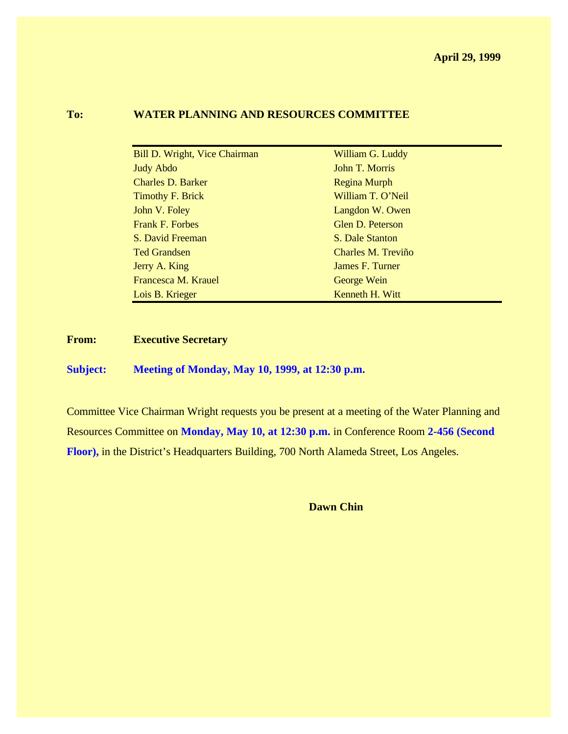#### **To: WATER PLANNING AND RESOURCES COMMITTEE**

| Bill D. Wright, Vice Chairman | William G. Luddy    |
|-------------------------------|---------------------|
| <b>Judy Abdo</b>              | John T. Morris      |
| <b>Charles D. Barker</b>      | <b>Regina Murph</b> |
| <b>Timothy F. Brick</b>       | William T. O'Neil   |
| John V. Foley                 | Langdon W. Owen     |
| <b>Frank F. Forbes</b>        | Glen D. Peterson    |
| S. David Freeman              | S. Dale Stanton     |
| <b>Ted Grandsen</b>           | Charles M. Treviño  |
| Jerry A. King                 | James F. Turner     |
| Francesca M. Krauel           | George Wein         |
| Lois B. Krieger               | Kenneth H. Witt     |

**From: Executive Secretary**

**Subject: Meeting of Monday, May 10, 1999, at 12:30 p.m.**

Committee Vice Chairman Wright requests you be present at a meeting of the Water Planning and Resources Committee on **Monday, May 10, at 12:30 p.m.** in Conference Room **2-456 (Second Floor),** in the District's Headquarters Building, 700 North Alameda Street, Los Angeles.

**Dawn Chin**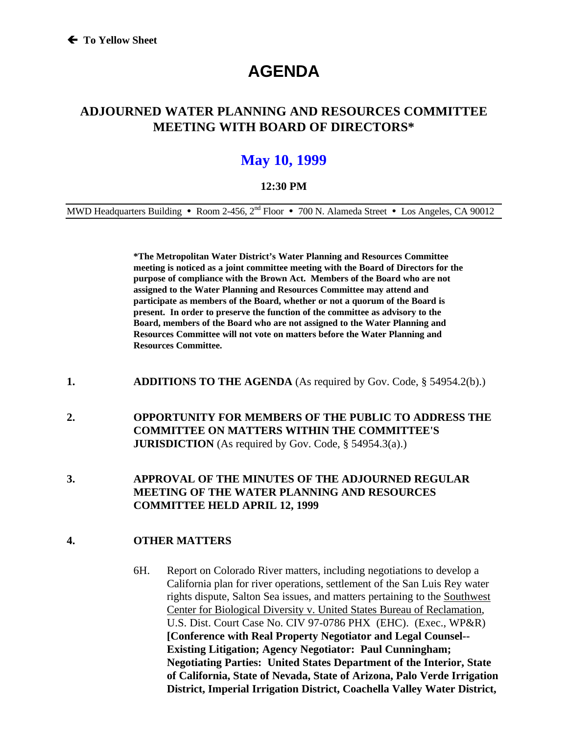# **AGENDA**

### **ADJOURNED WATER PLANNING AND RESOURCES COMMITTEE MEETING WITH BOARD OF DIRECTORS\***

## **May 10, 1999**

#### **12:30 PM**

MWD Headquarters Building • Room 2-456,  $2<sup>nd</sup>$  Floor • 700 N. Alameda Street • Los Angeles, CA 90012

**\*The Metropolitan Water District's Water Planning and Resources Committee meeting is noticed as a joint committee meeting with the Board of Directors for the purpose of compliance with the Brown Act. Members of the Board who are not assigned to the Water Planning and Resources Committee may attend and participate as members of the Board, whether or not a quorum of the Board is present. In order to preserve the function of the committee as advisory to the Board, members of the Board who are not assigned to the Water Planning and Resources Committee will not vote on matters before the Water Planning and Resources Committee.**

- **1. ADDITIONS TO THE AGENDA** (As required by Gov. Code, § 54954.2(b).)
- **2. OPPORTUNITY FOR MEMBERS OF THE PUBLIC TO ADDRESS THE COMMITTEE ON MATTERS WITHIN THE COMMITTEE'S JURISDICTION** (As required by Gov. Code, § 54954.3(a).)
- **3. APPROVAL OF THE MINUTES OF THE ADJOURNED REGULAR MEETING OF THE WATER PLANNING AND RESOURCES COMMITTEE HELD APRIL 12, 1999**

#### **4. OTHER MATTERS**

6H. Report on Colorado River matters, including negotiations to develop a California plan for river operations, settlement of the San Luis Rey water rights dispute, Salton Sea issues, and matters pertaining to the Southwest Center for Biological Diversity v. United States Bureau of Reclamation, U.S. Dist. Court Case No. CIV 97-0786 PHX (EHC). (Exec., WP&R) **[Conference with Real Property Negotiator and Legal Counsel-- Existing Litigation; Agency Negotiator: Paul Cunningham; Negotiating Parties: United States Department of the Interior, State of California, State of Nevada, State of Arizona, Palo Verde Irrigation District, Imperial Irrigation District, Coachella Valley Water District,**